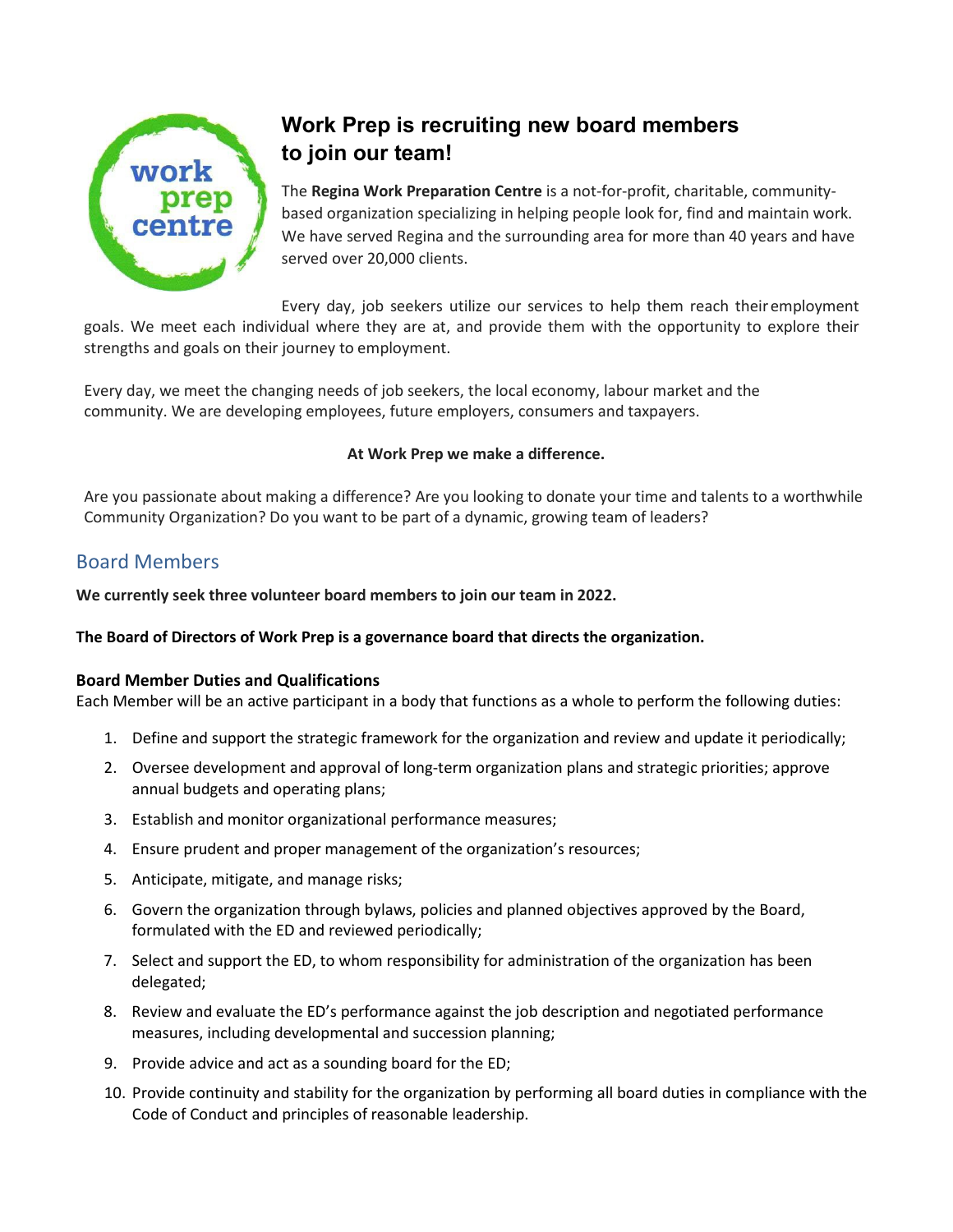

# **Work Prep is recruiting new board members to join our team!**

The **Regina Work Preparation Centre** is a not-for-profit, charitable, communitybased organization specializing in helping people look for, find and maintain work. We have served Regina and the surrounding area for more than 40 years and have served over 20,000 clients.

Every day, job seekers utilize our services to help them reach their employment

goals. We meet each individual where they are at, and provide them with the opportunity to explore their strengths and goals on their journey to employment.

Every day, we meet the changing needs of job seekers, the local economy, labour market and the community. We are developing employees, future employers, consumers and taxpayers.

### **At Work Prep we make a difference.**

Are you passionate about making a difference? Are you looking to donate your time and talents to a worthwhile Community Organization? Do you want to be part of a dynamic, growing team of leaders?

## Board Members

**We currently seek three volunteer board members to join our team in 2022.**

### **The Board of Directors of Work Prep is a governance board that directs the organization.**

### **Board Member Duties and Qualifications**

Each Member will be an active participant in a body that functions as a whole to perform the following duties:

- 1. Define and support the strategic framework for the organization and review and update it periodically;
- 2. Oversee development and approval of long-term organization plans and strategic priorities; approve annual budgets and operating plans;
- 3. Establish and monitor organizational performance measures;
- 4. Ensure prudent and proper management of the organization's resources;
- 5. Anticipate, mitigate, and manage risks;
- 6. Govern the organization through bylaws, policies and planned objectives approved by the Board, formulated with the ED and reviewed periodically;
- 7. Select and support the ED, to whom responsibility for administration of the organization has been delegated;
- 8. Review and evaluate the ED's performance against the job description and negotiated performance measures, including developmental and succession planning;
- 9. Provide advice and act as a sounding board for the ED;
- 10. Provide continuity and stability for the organization by performing all board duties in compliance with the Code of Conduct and principles of reasonable leadership.